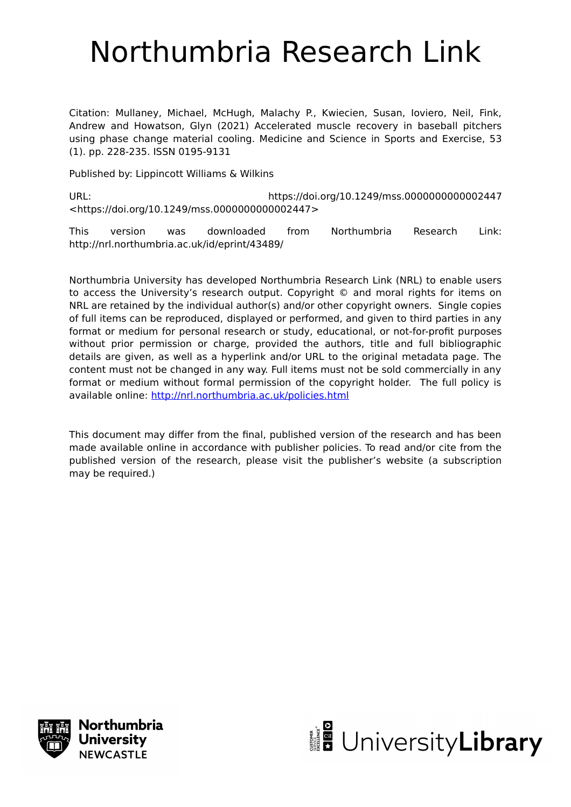# Northumbria Research Link

Citation: Mullaney, Michael, McHugh, Malachy P., Kwiecien, Susan, Ioviero, Neil, Fink, Andrew and Howatson, Glyn (2021) Accelerated muscle recovery in baseball pitchers using phase change material cooling. Medicine and Science in Sports and Exercise, 53 (1). pp. 228-235. ISSN 0195-9131

Published by: Lippincott Williams & Wilkins

URL: https://doi.org/10.1249/mss.0000000000002447 <https://doi.org/10.1249/mss.0000000000002447>

This version was downloaded from Northumbria Research Link: http://nrl.northumbria.ac.uk/id/eprint/43489/

Northumbria University has developed Northumbria Research Link (NRL) to enable users to access the University's research output. Copyright © and moral rights for items on NRL are retained by the individual author(s) and/or other copyright owners. Single copies of full items can be reproduced, displayed or performed, and given to third parties in any format or medium for personal research or study, educational, or not-for-profit purposes without prior permission or charge, provided the authors, title and full bibliographic details are given, as well as a hyperlink and/or URL to the original metadata page. The content must not be changed in any way. Full items must not be sold commercially in any format or medium without formal permission of the copyright holder. The full policy is available online:<http://nrl.northumbria.ac.uk/policies.html>

This document may differ from the final, published version of the research and has been made available online in accordance with publisher policies. To read and/or cite from the published version of the research, please visit the publisher's website (a subscription may be required.)



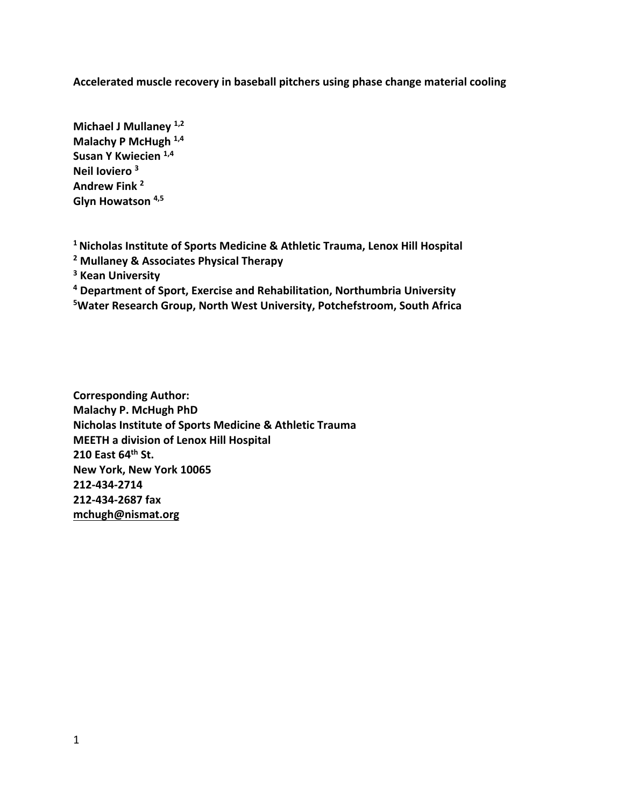**Accelerated muscle recovery in baseball pitchers using phase change material cooling**

**Michael J Mullaney 1,2 Malachy P McHugh 1,4 Susan Y Kwiecien 1,4 Neil Ioviero 3 Andrew Fink 2 Glyn Howatson 4,5**

**1 Nicholas Institute of Sports Medicine & Athletic Trauma, Lenox Hill Hospital**

- **<sup>2</sup> Mullaney & Associates Physical Therapy**
- **<sup>3</sup> Kean University**

**<sup>4</sup> Department of Sport, Exercise and Rehabilitation, Northumbria University**

**5 Water Research Group, North West University, Potchefstroom, South Africa**

**Corresponding Author: Malachy P. McHugh PhD Nicholas Institute of Sports Medicine & Athletic Trauma MEETH a division of Lenox Hill Hospital 210 East 64th St. New York, New York 10065 212-434-2714 212-434-2687 fax mchugh@nismat.org**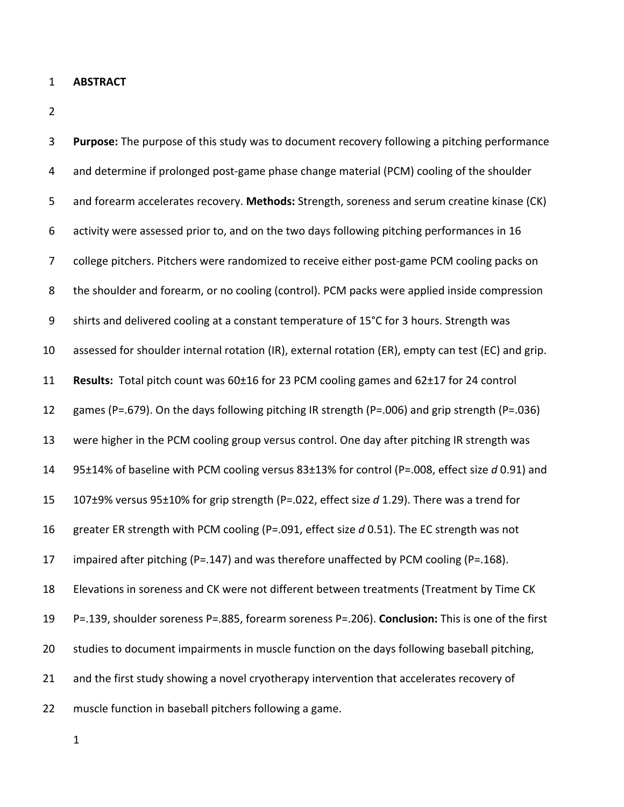- **ABSTRACT**
- 

| 3                | Purpose: The purpose of this study was to document recovery following a pitching performance        |
|------------------|-----------------------------------------------------------------------------------------------------|
| 4                | and determine if prolonged post-game phase change material (PCM) cooling of the shoulder            |
| 5                | and forearm accelerates recovery. Methods: Strength, soreness and serum creatine kinase (CK)        |
| 6                | activity were assessed prior to, and on the two days following pitching performances in 16          |
| 7                | college pitchers. Pitchers were randomized to receive either post-game PCM cooling packs on         |
| 8                | the shoulder and forearm, or no cooling (control). PCM packs were applied inside compression        |
| $\boldsymbol{9}$ | shirts and delivered cooling at a constant temperature of 15°C for 3 hours. Strength was            |
| 10               | assessed for shoulder internal rotation (IR), external rotation (ER), empty can test (EC) and grip. |
| 11               | Results: Total pitch count was 60±16 for 23 PCM cooling games and 62±17 for 24 control              |
| 12               | games (P=.679). On the days following pitching IR strength (P=.006) and grip strength (P=.036)      |
| 13               | were higher in the PCM cooling group versus control. One day after pitching IR strength was         |
| 14               | 95±14% of baseline with PCM cooling versus 83±13% for control (P=.008, effect size d 0.91) and      |
| 15               | 107±9% versus 95±10% for grip strength (P=.022, effect size d 1.29). There was a trend for          |
| 16               | greater ER strength with PCM cooling (P=.091, effect size d 0.51). The EC strength was not          |
| 17               | impaired after pitching (P=.147) and was therefore unaffected by PCM cooling (P=.168).              |
| 18               | Elevations in soreness and CK were not different between treatments (Treatment by Time CK           |
| 19               | P=.139, shoulder soreness P=.885, forearm soreness P=.206). Conclusion: This is one of the first    |
| 20               | studies to document impairments in muscle function on the days following baseball pitching,         |
| 21               | and the first study showing a novel cryotherapy intervention that accelerates recovery of           |
| 22               | muscle function in baseball pitchers following a game.                                              |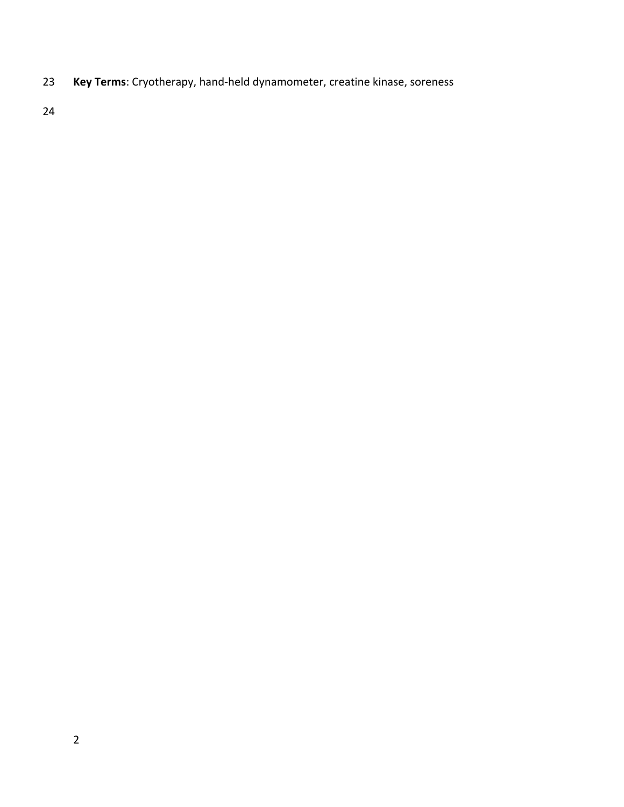**Key Terms**: Cryotherapy, hand-held dynamometer, creatine kinase, soreness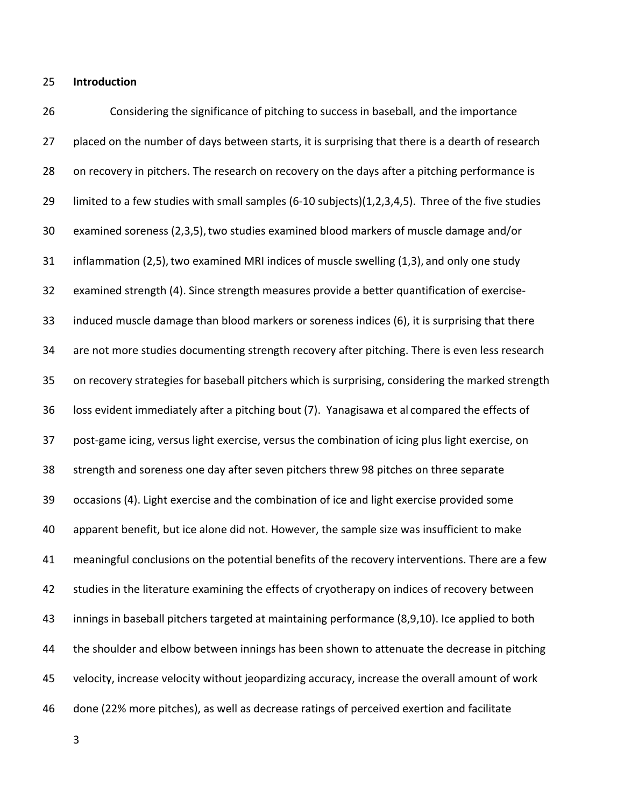**Introduction**

 Considering the significance of pitching to success in baseball, and the importance 27 placed on the number of days between starts, it is surprising that there is a dearth of research 28 on recovery in pitchers. The research on recovery on the days after a pitching performance is limited to a few studies with small samples (6-10 subjects)(1,2,3,4,5). Three of the five studies examined soreness (2,3,5),two studies examined blood markers of muscle damage and/or inflammation (2,5),two examined MRI indices of muscle swelling (1,3), and only one study examined strength (4). Since strength measures provide a better quantification of exercise- induced muscle damage than blood markers or soreness indices (6), it is surprising that there are not more studies documenting strength recovery after pitching. There is even less research on recovery strategies for baseball pitchers which is surprising, considering the marked strength loss evident immediately after a pitching bout (7). Yanagisawa et al compared the effects of post-game icing, versus light exercise, versus the combination of icing plus light exercise, on strength and soreness one day after seven pitchers threw 98 pitches on three separate occasions (4). Light exercise and the combination of ice and light exercise provided some apparent benefit, but ice alone did not. However, the sample size was insufficient to make meaningful conclusions on the potential benefits of the recovery interventions. There are a few studies in the literature examining the effects of cryotherapy on indices of recovery between innings in baseball pitchers targeted at maintaining performance (8,9,10). Ice applied to both 44 the shoulder and elbow between innings has been shown to attenuate the decrease in pitching velocity, increase velocity without jeopardizing accuracy, increase the overall amount of work done (22% more pitches), as well as decrease ratings of perceived exertion and facilitate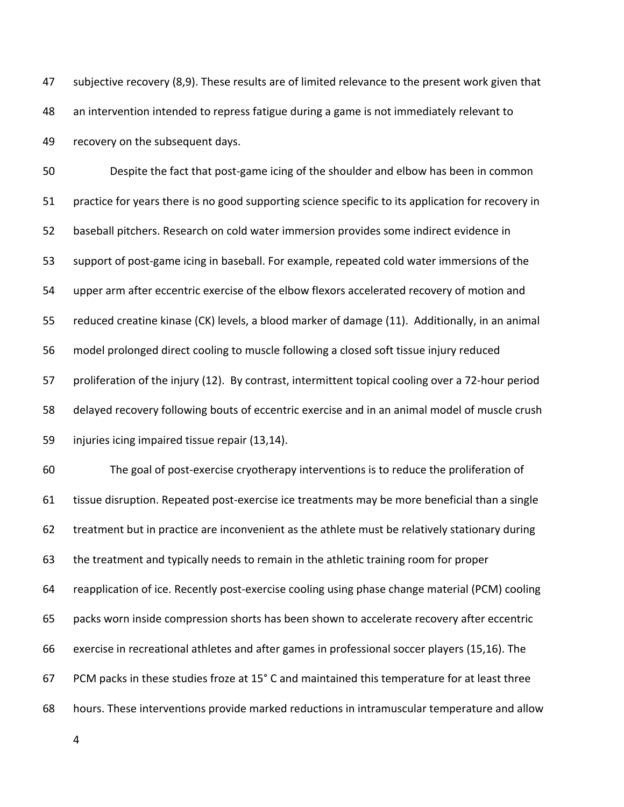47 subjective recovery (8,9). These results are of limited relevance to the present work given that an intervention intended to repress fatigue during a game is not immediately relevant to recovery on the subsequent days.

 Despite the fact that post-game icing of the shoulder and elbow has been in common practice for years there is no good supporting science specific to its application for recovery in baseball pitchers. Research on cold water immersion provides some indirect evidence in support of post-game icing in baseball. For example, repeated cold water immersions of the upper arm after eccentric exercise of the elbow flexors accelerated recovery of motion and reduced creatine kinase (CK) levels, a blood marker of damage (11). Additionally, in an animal model prolonged direct cooling to muscle following a closed soft tissue injury reduced proliferation of the injury (12). By contrast, intermittent topical cooling over a 72-hour period delayed recovery following bouts of eccentric exercise and in an animal model of muscle crush injuries icing impaired tissue repair (13,14).

 The goal of post-exercise cryotherapy interventions is to reduce the proliferation of tissue disruption. Repeated post-exercise ice treatments may be more beneficial than a single treatment but in practice are inconvenient as the athlete must be relatively stationary during the treatment and typically needs to remain in the athletic training room for proper reapplication of ice. Recently post-exercise cooling using phase change material (PCM) cooling packs worn inside compression shorts has been shown to accelerate recovery after eccentric exercise in recreational athletes and after games in professional soccer players (15,16). The PCM packs in these studies froze at 15° C and maintained this temperature for at least three hours. These interventions provide marked reductions in intramuscular temperature and allow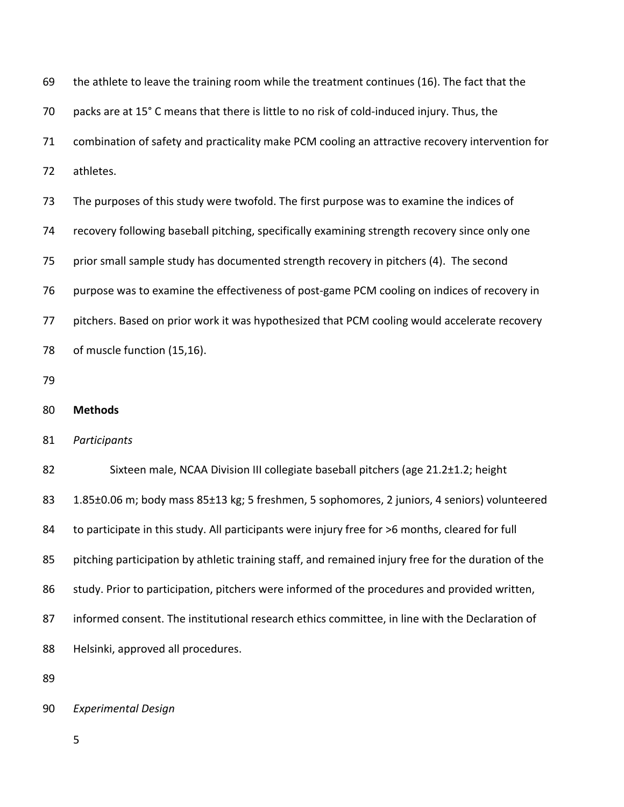| 69 | the athlete to leave the training room while the treatment continues (16). The fact that the        |  |  |  |  |  |
|----|-----------------------------------------------------------------------------------------------------|--|--|--|--|--|
| 70 | packs are at 15° C means that there is little to no risk of cold-induced injury. Thus, the          |  |  |  |  |  |
| 71 | combination of safety and practicality make PCM cooling an attractive recovery intervention for     |  |  |  |  |  |
| 72 | athletes.                                                                                           |  |  |  |  |  |
| 73 | The purposes of this study were twofold. The first purpose was to examine the indices of            |  |  |  |  |  |
| 74 | recovery following baseball pitching, specifically examining strength recovery since only one       |  |  |  |  |  |
| 75 | prior small sample study has documented strength recovery in pitchers (4). The second               |  |  |  |  |  |
| 76 | purpose was to examine the effectiveness of post-game PCM cooling on indices of recovery in         |  |  |  |  |  |
| 77 | pitchers. Based on prior work it was hypothesized that PCM cooling would accelerate recovery        |  |  |  |  |  |
| 78 | of muscle function (15,16).                                                                         |  |  |  |  |  |
| 79 |                                                                                                     |  |  |  |  |  |
| 80 | <b>Methods</b>                                                                                      |  |  |  |  |  |
| 81 | Participants                                                                                        |  |  |  |  |  |
| 82 | Sixteen male, NCAA Division III collegiate baseball pitchers (age 21.2±1.2; height                  |  |  |  |  |  |
| 83 | 1.85±0.06 m; body mass 85±13 kg; 5 freshmen, 5 sophomores, 2 juniors, 4 seniors) volunteered        |  |  |  |  |  |
| 84 | to participate in this study. All participants were injury free for >6 months, cleared for full     |  |  |  |  |  |
| 85 | pitching participation by athletic training staff, and remained injury free for the duration of the |  |  |  |  |  |
| 86 | study. Prior to participation, pitchers were informed of the procedures and provided written,       |  |  |  |  |  |
| 87 | informed consent. The institutional research ethics committee, in line with the Declaration of      |  |  |  |  |  |
| 88 | Helsinki, approved all procedures.                                                                  |  |  |  |  |  |
| 89 |                                                                                                     |  |  |  |  |  |

*Experimental Design*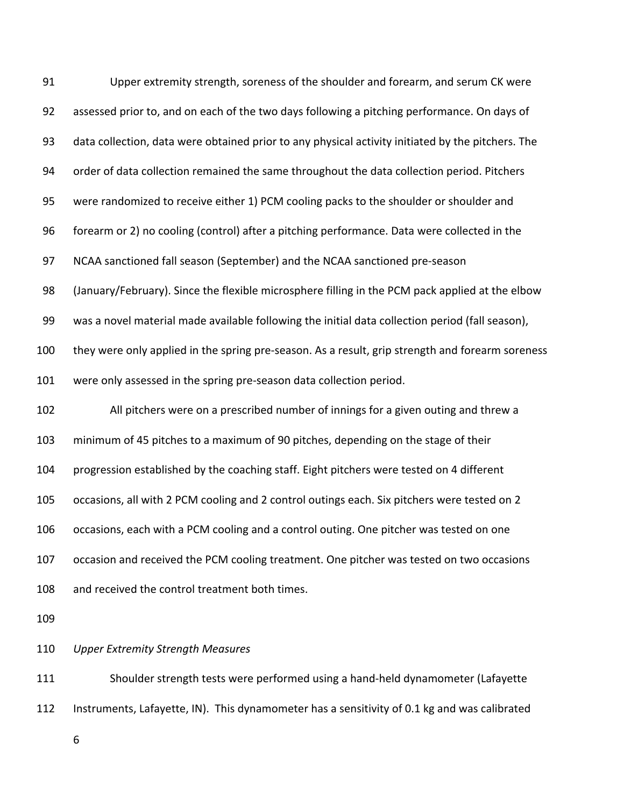| 91  | Upper extremity strength, soreness of the shoulder and forearm, and serum CK were                 |  |  |  |  |  |  |
|-----|---------------------------------------------------------------------------------------------------|--|--|--|--|--|--|
| 92  | assessed prior to, and on each of the two days following a pitching performance. On days of       |  |  |  |  |  |  |
| 93  | data collection, data were obtained prior to any physical activity initiated by the pitchers. The |  |  |  |  |  |  |
| 94  | order of data collection remained the same throughout the data collection period. Pitchers        |  |  |  |  |  |  |
| 95  | were randomized to receive either 1) PCM cooling packs to the shoulder or shoulder and            |  |  |  |  |  |  |
| 96  | forearm or 2) no cooling (control) after a pitching performance. Data were collected in the       |  |  |  |  |  |  |
| 97  | NCAA sanctioned fall season (September) and the NCAA sanctioned pre-season                        |  |  |  |  |  |  |
| 98  | (January/February). Since the flexible microsphere filling in the PCM pack applied at the elbow   |  |  |  |  |  |  |
| 99  | was a novel material made available following the initial data collection period (fall season),   |  |  |  |  |  |  |
| 100 | they were only applied in the spring pre-season. As a result, grip strength and forearm soreness  |  |  |  |  |  |  |
| 101 | were only assessed in the spring pre-season data collection period.                               |  |  |  |  |  |  |
| 102 | All pitchers were on a prescribed number of innings for a given outing and threw a                |  |  |  |  |  |  |
| 103 | minimum of 45 pitches to a maximum of 90 pitches, depending on the stage of their                 |  |  |  |  |  |  |
| 104 | progression established by the coaching staff. Eight pitchers were tested on 4 different          |  |  |  |  |  |  |
| 105 | occasions, all with 2 PCM cooling and 2 control outings each. Six pitchers were tested on 2       |  |  |  |  |  |  |
| 106 | occasions, each with a PCM cooling and a control outing. One pitcher was tested on one            |  |  |  |  |  |  |
| 107 | occasion and received the PCM cooling treatment. One pitcher was tested on two occasions          |  |  |  |  |  |  |
| 108 | and received the control treatment both times.                                                    |  |  |  |  |  |  |
| 109 |                                                                                                   |  |  |  |  |  |  |
| 110 | <b>Upper Extremity Strength Measures</b>                                                          |  |  |  |  |  |  |
| 111 | Shoulder strength tests were performed using a hand-held dynamometer (Lafayette                   |  |  |  |  |  |  |

Instruments, Lafayette, IN). This dynamometer has a sensitivity of 0.1 kg and was calibrated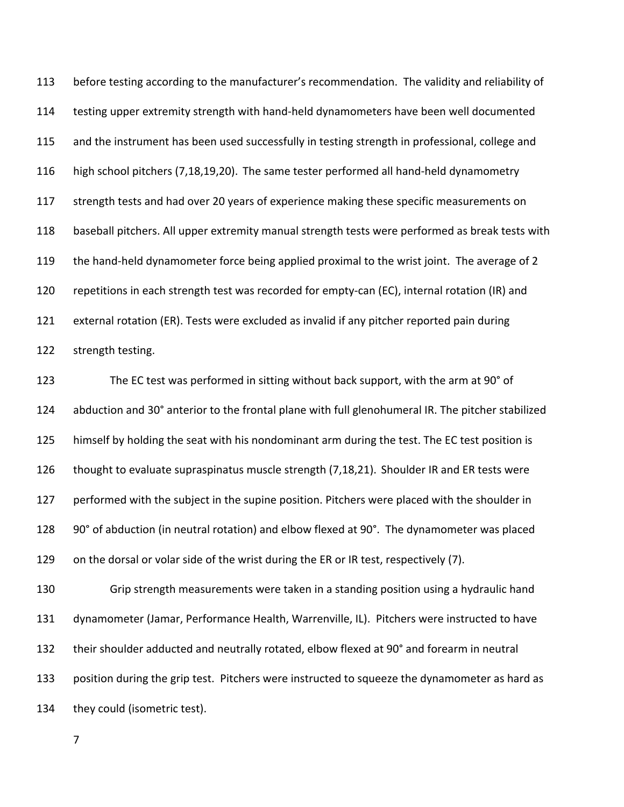before testing according to the manufacturer's recommendation. The validity and reliability of testing upper extremity strength with hand-held dynamometers have been well documented and the instrument has been used successfully in testing strength in professional, college and high school pitchers (7,18,19,20). The same tester performed all hand-held dynamometry 117 strength tests and had over 20 years of experience making these specific measurements on baseball pitchers. All upper extremity manual strength tests were performed as break tests with the hand-held dynamometer force being applied proximal to the wrist joint. The average of 2 repetitions in each strength test was recorded for empty-can (EC), internal rotation (IR) and external rotation (ER). Tests were excluded as invalid if any pitcher reported pain during strength testing.

 The EC test was performed in sitting without back support, with the arm at 90° of abduction and 30° anterior to the frontal plane with full glenohumeral IR. The pitcher stabilized himself by holding the seat with his nondominant arm during the test. The EC test position is thought to evaluate supraspinatus muscle strength (7,18,21). Shoulder IR and ER tests were performed with the subject in the supine position. Pitchers were placed with the shoulder in 90° of abduction (in neutral rotation) and elbow flexed at 90°. The dynamometer was placed on the dorsal or volar side of the wrist during the ER or IR test, respectively (7).

 Grip strength measurements were taken in a standing position using a hydraulic hand dynamometer (Jamar, Performance Health, Warrenville, IL). Pitchers were instructed to have their shoulder adducted and neutrally rotated, elbow flexed at 90° and forearm in neutral position during the grip test. Pitchers were instructed to squeeze the dynamometer as hard as they could (isometric test).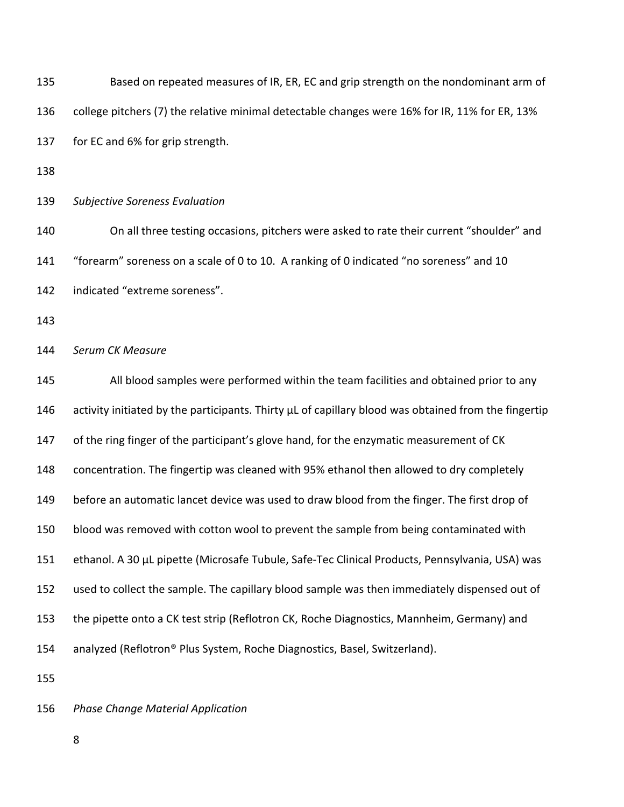| 135 | Based on repeated measures of IR, ER, EC and grip strength on the nondominant arm of                 |  |  |  |  |  |
|-----|------------------------------------------------------------------------------------------------------|--|--|--|--|--|
| 136 | college pitchers (7) the relative minimal detectable changes were 16% for IR, 11% for ER, 13%        |  |  |  |  |  |
| 137 | for EC and 6% for grip strength.                                                                     |  |  |  |  |  |
| 138 |                                                                                                      |  |  |  |  |  |
| 139 | <b>Subjective Soreness Evaluation</b>                                                                |  |  |  |  |  |
| 140 | On all three testing occasions, pitchers were asked to rate their current "shoulder" and             |  |  |  |  |  |
| 141 | "forearm" soreness on a scale of 0 to 10. A ranking of 0 indicated "no soreness" and 10              |  |  |  |  |  |
| 142 | indicated "extreme soreness".                                                                        |  |  |  |  |  |
| 143 |                                                                                                      |  |  |  |  |  |
| 144 | Serum CK Measure                                                                                     |  |  |  |  |  |
| 145 | All blood samples were performed within the team facilities and obtained prior to any                |  |  |  |  |  |
| 146 | activity initiated by the participants. Thirty µL of capillary blood was obtained from the fingertip |  |  |  |  |  |
| 147 | of the ring finger of the participant's glove hand, for the enzymatic measurement of CK              |  |  |  |  |  |
| 148 | concentration. The fingertip was cleaned with 95% ethanol then allowed to dry completely             |  |  |  |  |  |
| 149 | before an automatic lancet device was used to draw blood from the finger. The first drop of          |  |  |  |  |  |
| 150 | blood was removed with cotton wool to prevent the sample from being contaminated with                |  |  |  |  |  |
| 151 | ethanol. A 30 µL pipette (Microsafe Tubule, Safe-Tec Clinical Products, Pennsylvania, USA) was       |  |  |  |  |  |
| 152 | used to collect the sample. The capillary blood sample was then immediately dispensed out of         |  |  |  |  |  |
| 153 | the pipette onto a CK test strip (Reflotron CK, Roche Diagnostics, Mannheim, Germany) and            |  |  |  |  |  |
| 154 | analyzed (Reflotron® Plus System, Roche Diagnostics, Basel, Switzerland).                            |  |  |  |  |  |
| 155 |                                                                                                      |  |  |  |  |  |
| 156 | <b>Phase Change Material Application</b>                                                             |  |  |  |  |  |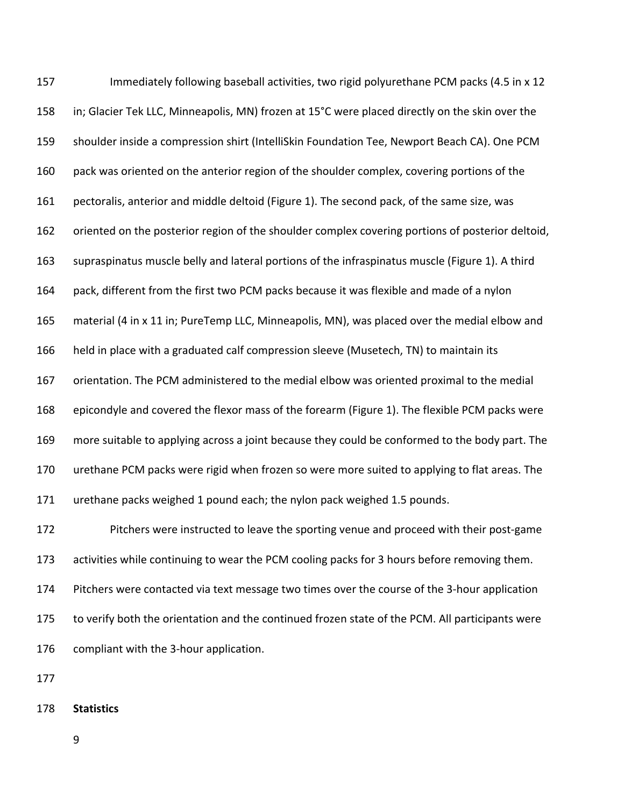157 Immediately following baseball activities, two rigid polyurethane PCM packs (4.5 in x 12 in; Glacier Tek LLC, Minneapolis, MN) frozen at 15°C were placed directly on the skin over the shoulder inside a compression shirt (IntelliSkin Foundation Tee, Newport Beach CA). One PCM pack was oriented on the anterior region of the shoulder complex, covering portions of the pectoralis, anterior and middle deltoid (Figure 1). The second pack, of the same size, was oriented on the posterior region of the shoulder complex covering portions of posterior deltoid, supraspinatus muscle belly and lateral portions of the infraspinatus muscle (Figure 1). A third pack, different from the first two PCM packs because it was flexible and made of a nylon material (4 in x 11 in; PureTemp LLC, Minneapolis, MN), was placed over the medial elbow and held in place with a graduated calf compression sleeve (Musetech, TN) to maintain its orientation. The PCM administered to the medial elbow was oriented proximal to the medial epicondyle and covered the flexor mass of the forearm (Figure 1). The flexible PCM packs were more suitable to applying across a joint because they could be conformed to the body part. The urethane PCM packs were rigid when frozen so were more suited to applying to flat areas. The urethane packs weighed 1 pound each; the nylon pack weighed 1.5 pounds. Pitchers were instructed to leave the sporting venue and proceed with their post-game activities while continuing to wear the PCM cooling packs for 3 hours before removing them. Pitchers were contacted via text message two times over the course of the 3-hour application to verify both the orientation and the continued frozen state of the PCM. All participants were compliant with the 3-hour application.

- 
- **Statistics**
	-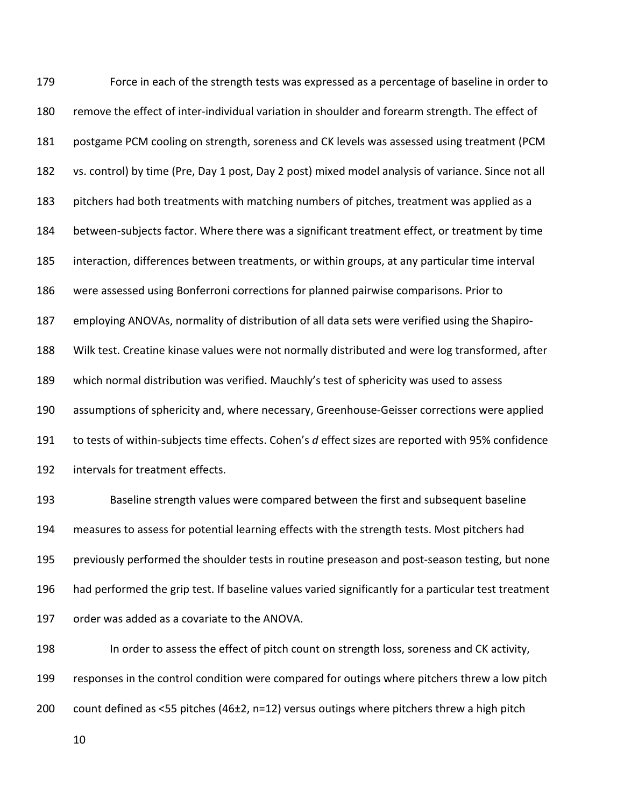Force in each of the strength tests was expressed as a percentage of baseline in order to remove the effect of inter-individual variation in shoulder and forearm strength. The effect of postgame PCM cooling on strength, soreness and CK levels was assessed using treatment (PCM vs. control) by time (Pre, Day 1 post, Day 2 post) mixed model analysis of variance. Since not all pitchers had both treatments with matching numbers of pitches, treatment was applied as a between-subjects factor. Where there was a significant treatment effect, or treatment by time interaction, differences between treatments, or within groups, at any particular time interval were assessed using Bonferroni corrections for planned pairwise comparisons. Prior to employing ANOVAs, normality of distribution of all data sets were verified using the Shapiro- Wilk test. Creatine kinase values were not normally distributed and were log transformed, after which normal distribution was verified. Mauchly's test of sphericity was used to assess assumptions of sphericity and, where necessary, Greenhouse-Geisser corrections were applied to tests of within-subjects time effects. Cohen's *d* effect sizes are reported with 95% confidence intervals for treatment effects.

 Baseline strength values were compared between the first and subsequent baseline measures to assess for potential learning effects with the strength tests. Most pitchers had previously performed the shoulder tests in routine preseason and post-season testing, but none had performed the grip test. If baseline values varied significantly for a particular test treatment order was added as a covariate to the ANOVA.

 In order to assess the effect of pitch count on strength loss, soreness and CK activity, responses in the control condition were compared for outings where pitchers threw a low pitch count defined as <55 pitches (46±2, n=12) versus outings where pitchers threw a high pitch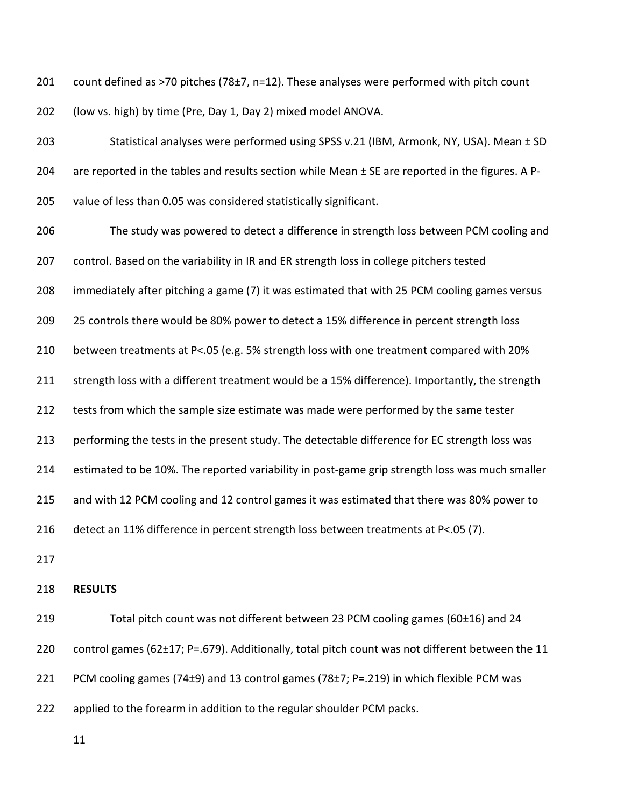201 count defined as >70 pitches (78±7, n=12). These analyses were performed with pitch count (low vs. high) by time (Pre, Day 1, Day 2) mixed model ANOVA.

 Statistical analyses were performed using SPSS v.21 (IBM, Armonk, NY, USA). Mean ± SD 204 are reported in the tables and results section while Mean ± SE are reported in the figures. A P-value of less than 0.05 was considered statistically significant.

 The study was powered to detect a difference in strength loss between PCM cooling and control. Based on the variability in IR and ER strength loss in college pitchers tested immediately after pitching a game (7) it was estimated that with 25 PCM cooling games versus 209 25 controls there would be 80% power to detect a 15% difference in percent strength loss between treatments at P<.05 (e.g. 5% strength loss with one treatment compared with 20% 211 strength loss with a different treatment would be a 15% difference). Importantly, the strength 212 tests from which the sample size estimate was made were performed by the same tester performing the tests in the present study. The detectable difference for EC strength loss was estimated to be 10%. The reported variability in post-game grip strength loss was much smaller and with 12 PCM cooling and 12 control games it was estimated that there was 80% power to detect an 11% difference in percent strength loss between treatments at P<.05 (7). **RESULTS**

 Total pitch count was not different between 23 PCM cooling games (60±16) and 24 control games (62±17; P=.679). Additionally, total pitch count was not different between the 11 PCM cooling games (74±9) and 13 control games (78±7; P=.219) in which flexible PCM was applied to the forearm in addition to the regular shoulder PCM packs.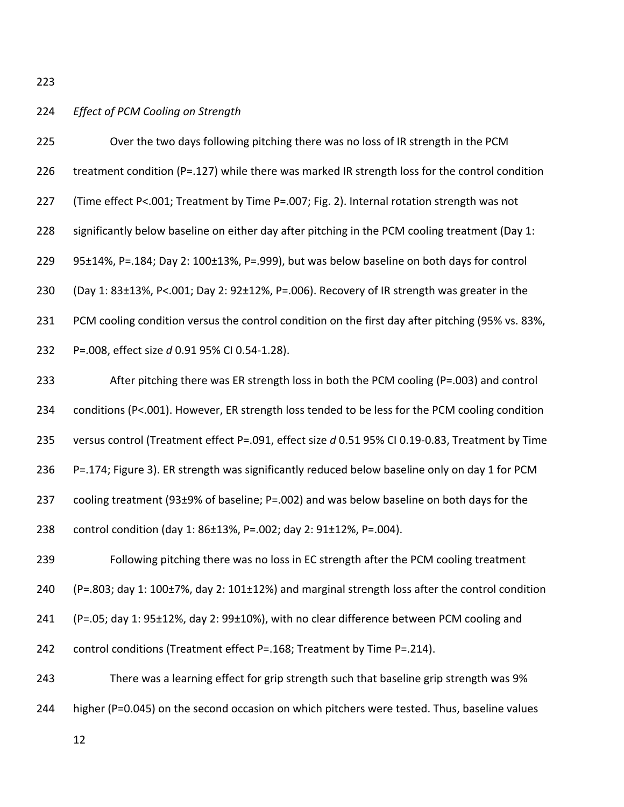## *Effect of PCM Cooling on Strength*

| 225 | Over the two days following pitching there was no loss of IR strength in the PCM                 |  |  |  |  |  |
|-----|--------------------------------------------------------------------------------------------------|--|--|--|--|--|
| 226 | treatment condition (P=.127) while there was marked IR strength loss for the control condition   |  |  |  |  |  |
| 227 | (Time effect P<.001; Treatment by Time P=.007; Fig. 2). Internal rotation strength was not       |  |  |  |  |  |
| 228 | significantly below baseline on either day after pitching in the PCM cooling treatment (Day 1:   |  |  |  |  |  |
| 229 | 95±14%, P=.184; Day 2: 100±13%, P=.999), but was below baseline on both days for control         |  |  |  |  |  |
| 230 | (Day 1: 83±13%, P<.001; Day 2: 92±12%, P=.006). Recovery of IR strength was greater in the       |  |  |  |  |  |
| 231 | PCM cooling condition versus the control condition on the first day after pitching (95% vs. 83%, |  |  |  |  |  |
| 232 | P=.008, effect size d 0.91 95% CI 0.54-1.28).                                                    |  |  |  |  |  |
| 233 | After pitching there was ER strength loss in both the PCM cooling (P=.003) and control           |  |  |  |  |  |
| 234 | conditions (P<.001). However, ER strength loss tended to be less for the PCM cooling condition   |  |  |  |  |  |
| 235 | versus control (Treatment effect P=.091, effect size d 0.51 95% CI 0.19-0.83, Treatment by Time  |  |  |  |  |  |
| 236 | P=.174; Figure 3). ER strength was significantly reduced below baseline only on day 1 for PCM    |  |  |  |  |  |
| 237 | cooling treatment (93±9% of baseline; P=.002) and was below baseline on both days for the        |  |  |  |  |  |
| 238 | control condition (day 1: 86±13%, P=.002; day 2: 91±12%, P=.004).                                |  |  |  |  |  |
| 239 | Following pitching there was no loss in EC strength after the PCM cooling treatment              |  |  |  |  |  |
| 240 | (P=.803; day 1: 100±7%, day 2: 101±12%) and marginal strength loss after the control condition   |  |  |  |  |  |
| 241 | (P=.05; day 1: 95±12%, day 2: 99±10%), with no clear difference between PCM cooling and          |  |  |  |  |  |
| 242 | control conditions (Treatment effect P=.168; Treatment by Time P=.214).                          |  |  |  |  |  |
| 243 | There was a learning effect for grip strength such that baseline grip strength was 9%            |  |  |  |  |  |
| 244 | higher (P=0.045) on the second occasion on which pitchers were tested. Thus, baseline values     |  |  |  |  |  |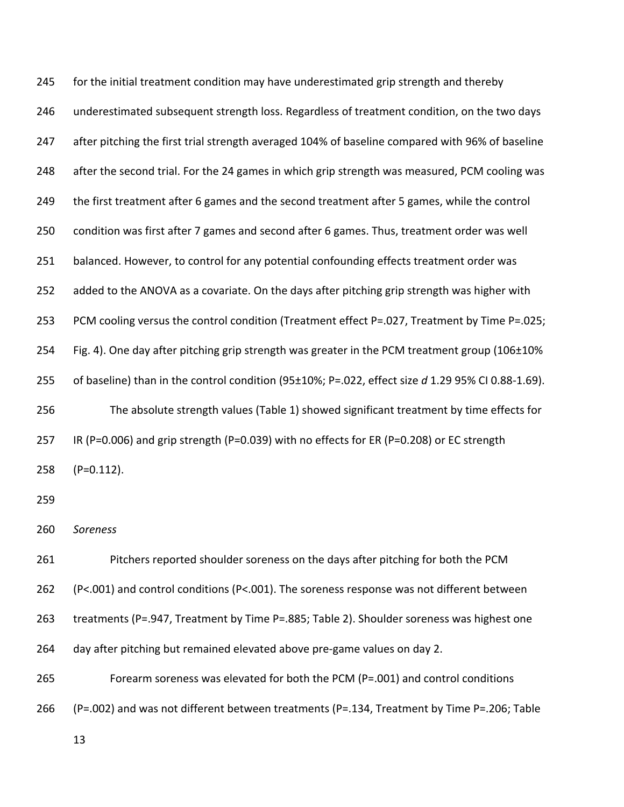245 for the initial treatment condition may have underestimated grip strength and thereby underestimated subsequent strength loss. Regardless of treatment condition, on the two days after pitching the first trial strength averaged 104% of baseline compared with 96% of baseline after the second trial. For the 24 games in which grip strength was measured, PCM cooling was 249 the first treatment after 6 games and the second treatment after 5 games, while the control condition was first after 7 games and second after 6 games. Thus, treatment order was well balanced. However, to control for any potential confounding effects treatment order was added to the ANOVA as a covariate. On the days after pitching grip strength was higher with PCM cooling versus the control condition (Treatment effect P=.027, Treatment by Time P=.025; Fig. 4). One day after pitching grip strength was greater in the PCM treatment group (106±10% of baseline) than in the control condition (95±10%; P=.022, effect size *d* 1.29 95% CI 0.88-1.69). The absolute strength values (Table 1) showed significant treatment by time effects for IR (P=0.006) and grip strength (P=0.039) with no effects for ER (P=0.208) or EC strength (P=0.112). 

*Soreness*

 Pitchers reported shoulder soreness on the days after pitching for both the PCM (P<.001) and control conditions (P<.001). The soreness response was not different between treatments (P=.947, Treatment by Time P=.885; Table 2). Shoulder soreness was highest one day after pitching but remained elevated above pre-game values on day 2.

Forearm soreness was elevated for both the PCM (P=.001) and control conditions

(P=.002) and was not different between treatments (P=.134, Treatment by Time P=.206; Table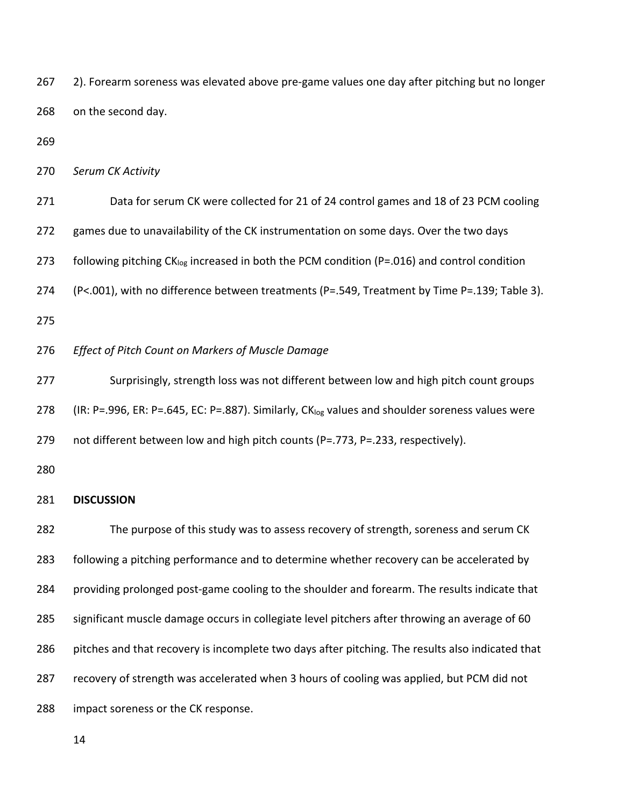| 267 | 2). Forearm soreness was elevated above pre-game values one day after pitching but no longer                |  |  |  |  |  |
|-----|-------------------------------------------------------------------------------------------------------------|--|--|--|--|--|
| 268 | on the second day.                                                                                          |  |  |  |  |  |
| 269 |                                                                                                             |  |  |  |  |  |
| 270 | Serum CK Activity                                                                                           |  |  |  |  |  |
| 271 | Data for serum CK were collected for 21 of 24 control games and 18 of 23 PCM cooling                        |  |  |  |  |  |
| 272 | games due to unavailability of the CK instrumentation on some days. Over the two days                       |  |  |  |  |  |
| 273 | following pitching CK <sub>log</sub> increased in both the PCM condition (P=.016) and control condition     |  |  |  |  |  |
| 274 | (P<.001), with no difference between treatments (P=.549, Treatment by Time P=.139; Table 3).                |  |  |  |  |  |
| 275 |                                                                                                             |  |  |  |  |  |
| 276 | Effect of Pitch Count on Markers of Muscle Damage                                                           |  |  |  |  |  |
| 277 | Surprisingly, strength loss was not different between low and high pitch count groups                       |  |  |  |  |  |
| 278 | (IR: P=.996, ER: P=.645, EC: P=.887). Similarly, CK <sub>log</sub> values and shoulder soreness values were |  |  |  |  |  |
| 279 | not different between low and high pitch counts (P=.773, P=.233, respectively).                             |  |  |  |  |  |
| 280 |                                                                                                             |  |  |  |  |  |
| 281 | <b>DISCUSSION</b>                                                                                           |  |  |  |  |  |
| 282 | The purpose of this study was to assess recovery of strength, soreness and serum CK                         |  |  |  |  |  |
| 283 | following a pitching performance and to determine whether recovery can be accelerated by                    |  |  |  |  |  |
| 284 | providing prolonged post-game cooling to the shoulder and forearm. The results indicate that                |  |  |  |  |  |
| 285 | significant muscle damage occurs in collegiate level pitchers after throwing an average of 60               |  |  |  |  |  |
| 286 | pitches and that recovery is incomplete two days after pitching. The results also indicated that            |  |  |  |  |  |
| 287 | recovery of strength was accelerated when 3 hours of cooling was applied, but PCM did not                   |  |  |  |  |  |
| 288 | impact soreness or the CK response.                                                                         |  |  |  |  |  |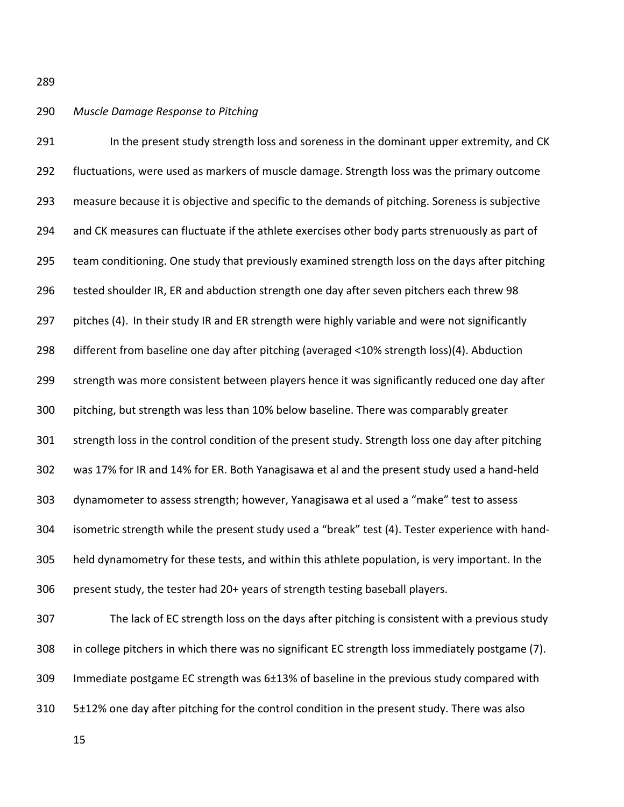### *Muscle Damage Response to Pitching*

291 In the present study strength loss and soreness in the dominant upper extremity, and CK fluctuations, were used as markers of muscle damage. Strength loss was the primary outcome measure because it is objective and specific to the demands of pitching. Soreness is subjective and CK measures can fluctuate if the athlete exercises other body parts strenuously as part of team conditioning. One study that previously examined strength loss on the days after pitching tested shoulder IR, ER and abduction strength one day after seven pitchers each threw 98 297 pitches (4). In their study IR and ER strength were highly variable and were not significantly different from baseline one day after pitching (averaged <10% strength loss)(4). Abduction strength was more consistent between players hence it was significantly reduced one day after pitching, but strength was less than 10% below baseline. There was comparably greater strength loss in the control condition of the present study. Strength loss one day after pitching was 17% for IR and 14% for ER. Both Yanagisawa et al and the present study used a hand-held dynamometer to assess strength; however, Yanagisawa et al used a "make" test to assess isometric strength while the present study used a "break" test (4). Tester experience with hand- held dynamometry for these tests, and within this athlete population, is very important. In the present study, the tester had 20+ years of strength testing baseball players.

 The lack of EC strength loss on the days after pitching is consistent with a previous study in college pitchers in which there was no significant EC strength loss immediately postgame (7). Immediate postgame EC strength was 6±13% of baseline in the previous study compared with 5±12% one day after pitching for the control condition in the present study. There was also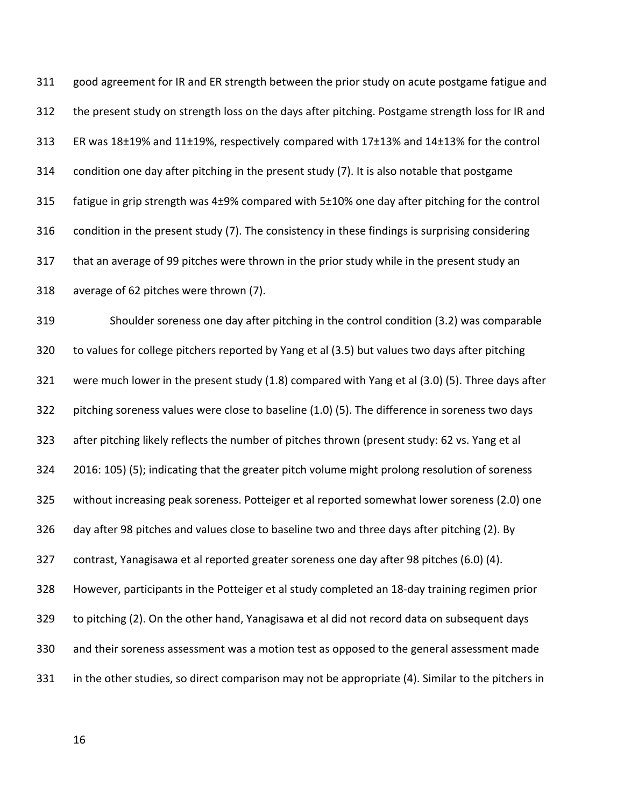good agreement for IR and ER strength between the prior study on acute postgame fatigue and the present study on strength loss on the days after pitching. Postgame strength loss for IR and ER was 18±19% and 11±19%, respectively compared with 17±13% and 14±13% for the control condition one day after pitching in the present study (7). It is also notable that postgame fatigue in grip strength was 4±9% compared with 5±10% one day after pitching for the control condition in the present study (7). The consistency in these findings is surprising considering that an average of 99 pitches were thrown in the prior study while in the present study an average of 62 pitches were thrown (7).

 Shoulder soreness one day after pitching in the control condition (3.2) was comparable to values for college pitchers reported by Yang et al (3.5) but values two days after pitching were much lower in the present study (1.8) compared with Yang et al (3.0) (5). Three days after pitching soreness values were close to baseline (1.0) (5). The difference in soreness two days after pitching likely reflects the number of pitches thrown (present study: 62 vs. Yang et al 2016: 105) (5); indicating that the greater pitch volume might prolong resolution of soreness without increasing peak soreness. Potteiger et al reported somewhat lower soreness (2.0) one day after 98 pitches and values close to baseline two and three days after pitching (2). By contrast, Yanagisawa et al reported greater soreness one day after 98 pitches (6.0) (4). However, participants in the Potteiger et al study completed an 18-day training regimen prior to pitching (2). On the other hand, Yanagisawa et al did not record data on subsequent days and their soreness assessment was a motion test as opposed to the general assessment made in the other studies, so direct comparison may not be appropriate (4). Similar to the pitchers in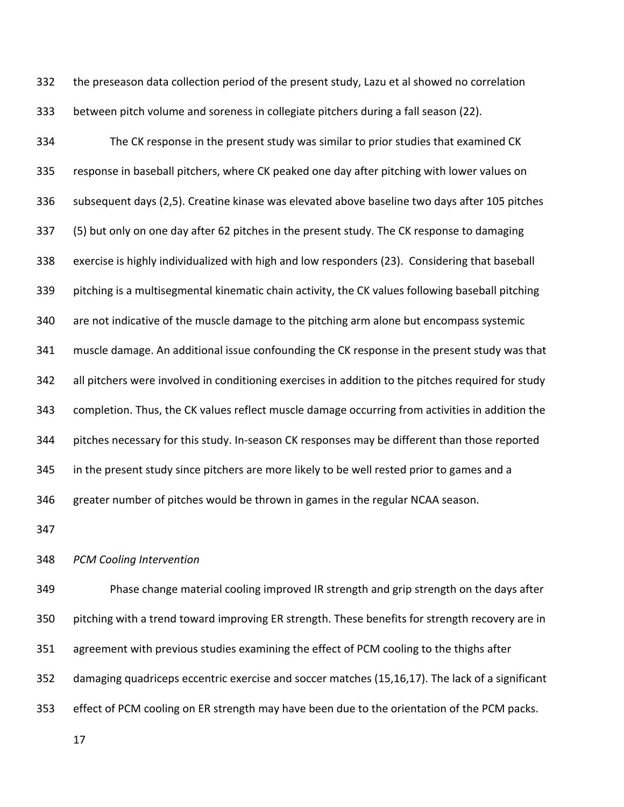the preseason data collection period of the present study, Lazu et al showed no correlation between pitch volume and soreness in collegiate pitchers during a fall season (22).

 The CK response in the present study was similar to prior studies that examined CK response in baseball pitchers, where CK peaked one day after pitching with lower values on subsequent days (2,5). Creatine kinase was elevated above baseline two days after 105 pitches (5) but only on one day after 62 pitches in the present study. The CK response to damaging exercise is highly individualized with high and low responders (23). Considering that baseball pitching is a multisegmental kinematic chain activity, the CK values following baseball pitching are not indicative of the muscle damage to the pitching arm alone but encompass systemic muscle damage. An additional issue confounding the CK response in the present study was that all pitchers were involved in conditioning exercises in addition to the pitches required for study completion. Thus, the CK values reflect muscle damage occurring from activities in addition the pitches necessary for this study. In-season CK responses may be different than those reported in the present study since pitchers are more likely to be well rested prior to games and a greater number of pitches would be thrown in games in the regular NCAA season.

#### *PCM Cooling Intervention*

 Phase change material cooling improved IR strength and grip strength on the days after pitching with a trend toward improving ER strength. These benefits for strength recovery are in agreement with previous studies examining the effect of PCM cooling to the thighs after damaging quadriceps eccentric exercise and soccer matches (15,16,17). The lack of a significant effect of PCM cooling on ER strength may have been due to the orientation of the PCM packs.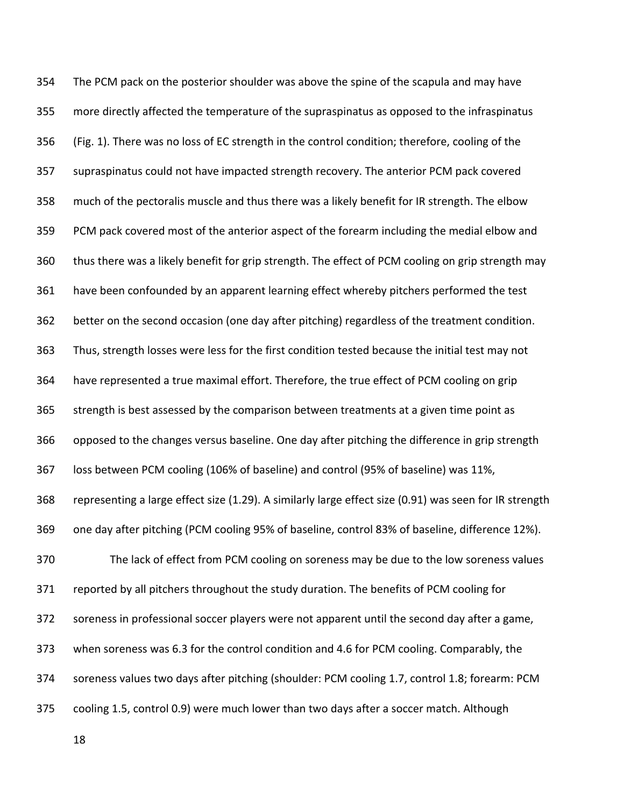The PCM pack on the posterior shoulder was above the spine of the scapula and may have more directly affected the temperature of the supraspinatus as opposed to the infraspinatus (Fig. 1). There was no loss of EC strength in the control condition; therefore, cooling of the supraspinatus could not have impacted strength recovery. The anterior PCM pack covered much of the pectoralis muscle and thus there was a likely benefit for IR strength. The elbow PCM pack covered most of the anterior aspect of the forearm including the medial elbow and thus there was a likely benefit for grip strength. The effect of PCM cooling on grip strength may have been confounded by an apparent learning effect whereby pitchers performed the test better on the second occasion (one day after pitching) regardless of the treatment condition. Thus, strength losses were less for the first condition tested because the initial test may not have represented a true maximal effort. Therefore, the true effect of PCM cooling on grip strength is best assessed by the comparison between treatments at a given time point as opposed to the changes versus baseline. One day after pitching the difference in grip strength loss between PCM cooling (106% of baseline) and control (95% of baseline) was 11%, representing a large effect size (1.29). A similarly large effect size (0.91) was seen for IR strength one day after pitching (PCM cooling 95% of baseline, control 83% of baseline, difference 12%). The lack of effect from PCM cooling on soreness may be due to the low soreness values reported by all pitchers throughout the study duration. The benefits of PCM cooling for soreness in professional soccer players were not apparent until the second day after a game, when soreness was 6.3 for the control condition and 4.6 for PCM cooling. Comparably, the soreness values two days after pitching (shoulder: PCM cooling 1.7, control 1.8; forearm: PCM cooling 1.5, control 0.9) were much lower than two days after a soccer match. Although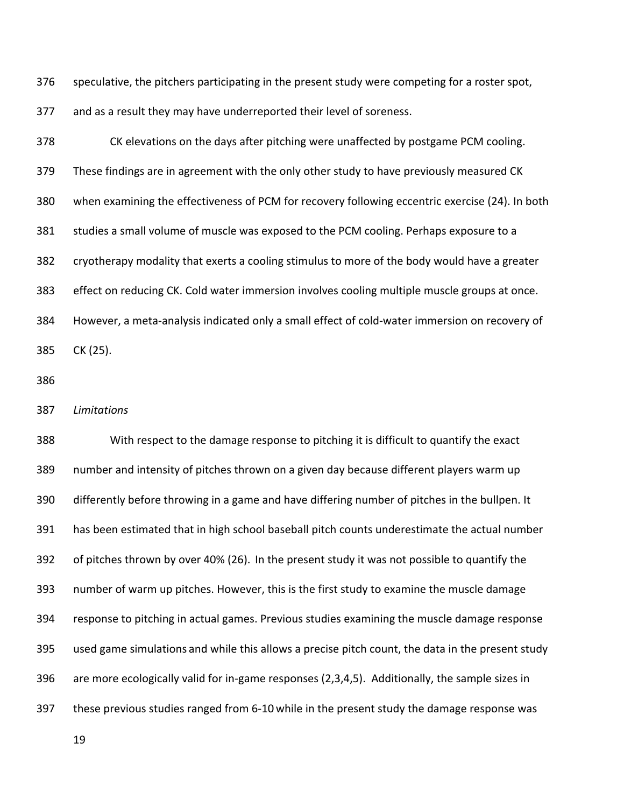speculative, the pitchers participating in the present study were competing for a roster spot, and as a result they may have underreported their level of soreness.

 CK elevations on the days after pitching were unaffected by postgame PCM cooling. These findings are in agreement with the only other study to have previously measured CK when examining the effectiveness of PCM for recovery following eccentric exercise (24). In both studies a small volume of muscle was exposed to the PCM cooling. Perhaps exposure to a cryotherapy modality that exerts a cooling stimulus to more of the body would have a greater effect on reducing CK. Cold water immersion involves cooling multiple muscle groups at once. However, a meta-analysis indicated only a small effect of cold-water immersion on recovery of CK (25).

*Limitations*

 With respect to the damage response to pitching it is difficult to quantify the exact number and intensity of pitches thrown on a given day because different players warm up differently before throwing in a game and have differing number of pitches in the bullpen. It has been estimated that in high school baseball pitch counts underestimate the actual number of pitches thrown by over 40% (26). In the present study it was not possible to quantify the number of warm up pitches. However, this is the first study to examine the muscle damage response to pitching in actual games. Previous studies examining the muscle damage response used game simulations and while this allows a precise pitch count, the data in the present study are more ecologically valid for in-game responses (2,3,4,5). Additionally, the sample sizes in these previous studies ranged from 6-10 while in the present study the damage response was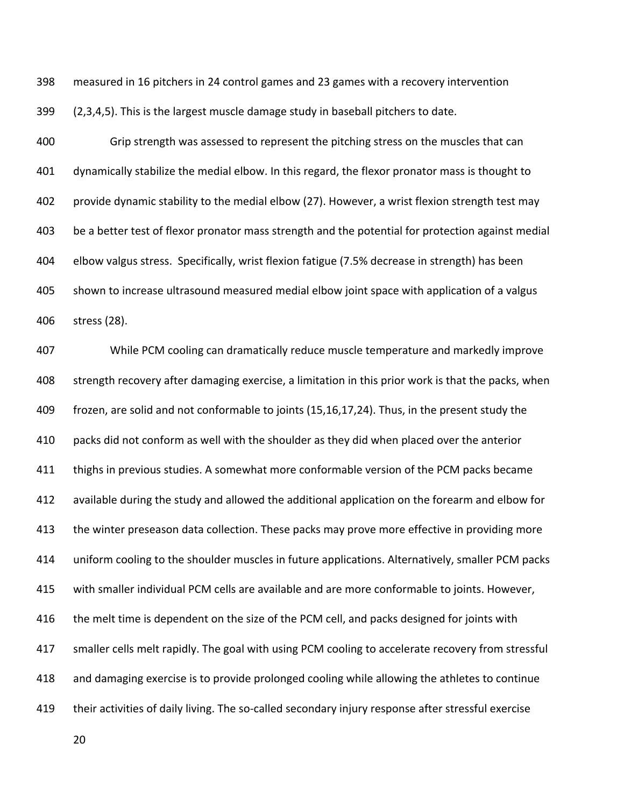measured in 16 pitchers in 24 control games and 23 games with a recovery intervention

(2,3,4,5). This is the largest muscle damage study in baseball pitchers to date.

 Grip strength was assessed to represent the pitching stress on the muscles that can dynamically stabilize the medial elbow. In this regard, the flexor pronator mass is thought to provide dynamic stability to the medial elbow (27). However, a wrist flexion strength test may be a better test of flexor pronator mass strength and the potential for protection against medial elbow valgus stress. Specifically, wrist flexion fatigue (7.5% decrease in strength) has been shown to increase ultrasound measured medial elbow joint space with application of a valgus stress (28).

 While PCM cooling can dramatically reduce muscle temperature and markedly improve strength recovery after damaging exercise, a limitation in this prior work is that the packs, when frozen, are solid and not conformable to joints (15,16,17,24). Thus, in the present study the packs did not conform as well with the shoulder as they did when placed over the anterior thighs in previous studies. A somewhat more conformable version of the PCM packs became available during the study and allowed the additional application on the forearm and elbow for the winter preseason data collection. These packs may prove more effective in providing more uniform cooling to the shoulder muscles in future applications. Alternatively, smaller PCM packs with smaller individual PCM cells are available and are more conformable to joints. However, 416 the melt time is dependent on the size of the PCM cell, and packs designed for joints with smaller cells melt rapidly. The goal with using PCM cooling to accelerate recovery from stressful and damaging exercise is to provide prolonged cooling while allowing the athletes to continue their activities of daily living. The so-called secondary injury response after stressful exercise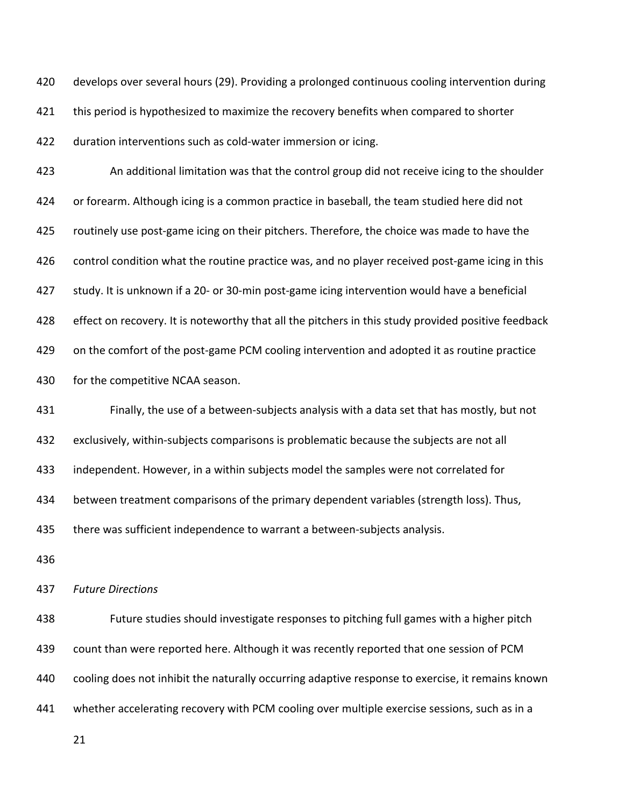develops over several hours (29). Providing a prolonged continuous cooling intervention during 421 this period is hypothesized to maximize the recovery benefits when compared to shorter duration interventions such as cold-water immersion or icing.

 An additional limitation was that the control group did not receive icing to the shoulder 424 or forearm. Although icing is a common practice in baseball, the team studied here did not routinely use post-game icing on their pitchers. Therefore, the choice was made to have the control condition what the routine practice was, and no player received post-game icing in this study. It is unknown if a 20- or 30-min post-game icing intervention would have a beneficial effect on recovery. It is noteworthy that all the pitchers in this study provided positive feedback on the comfort of the post-game PCM cooling intervention and adopted it as routine practice for the competitive NCAA season.

 Finally, the use of a between-subjects analysis with a data set that has mostly, but not exclusively, within-subjects comparisons is problematic because the subjects are not all independent. However, in a within subjects model the samples were not correlated for between treatment comparisons of the primary dependent variables (strength loss). Thus, there was sufficient independence to warrant a between-subjects analysis.

*Future Directions*

 Future studies should investigate responses to pitching full games with a higher pitch count than were reported here. Although it was recently reported that one session of PCM cooling does not inhibit the naturally occurring adaptive response to exercise, it remains known whether accelerating recovery with PCM cooling over multiple exercise sessions, such as in a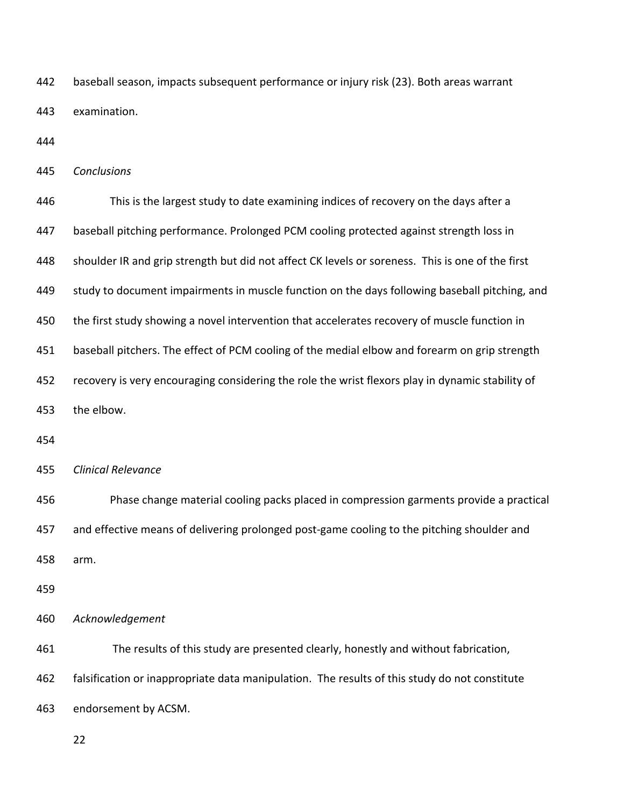baseball season, impacts subsequent performance or injury risk (23). Both areas warrant examination.

*Conclusions*

 This is the largest study to date examining indices of recovery on the days after a baseball pitching performance. Prolonged PCM cooling protected against strength loss in shoulder IR and grip strength but did not affect CK levels or soreness. This is one of the first study to document impairments in muscle function on the days following baseball pitching, and 450 the first study showing a novel intervention that accelerates recovery of muscle function in baseball pitchers. The effect of PCM cooling of the medial elbow and forearm on grip strength recovery is very encouraging considering the role the wrist flexors play in dynamic stability of the elbow. *Clinical Relevance* Phase change material cooling packs placed in compression garments provide a practical and effective means of delivering prolonged post-game cooling to the pitching shoulder and arm.

*Acknowledgement*

 The results of this study are presented clearly, honestly and without fabrication, falsification or inappropriate data manipulation. The results of this study do not constitute endorsement by ACSM.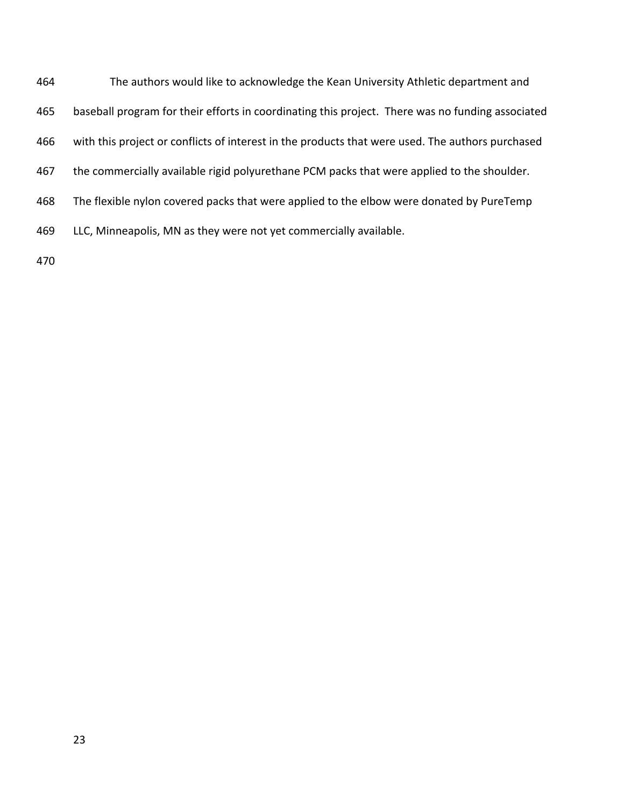| 464 | The authors would like to acknowledge the Kean University Athletic department and                |  |  |  |  |  |
|-----|--------------------------------------------------------------------------------------------------|--|--|--|--|--|
| 465 | baseball program for their efforts in coordinating this project. There was no funding associated |  |  |  |  |  |
| 466 | with this project or conflicts of interest in the products that were used. The authors purchased |  |  |  |  |  |
| 467 | the commercially available rigid polyurethane PCM packs that were applied to the shoulder.       |  |  |  |  |  |
| 468 | The flexible nylon covered packs that were applied to the elbow were donated by PureTemp         |  |  |  |  |  |
| 469 | LLC, Minneapolis, MN as they were not yet commercially available.                                |  |  |  |  |  |
| 470 |                                                                                                  |  |  |  |  |  |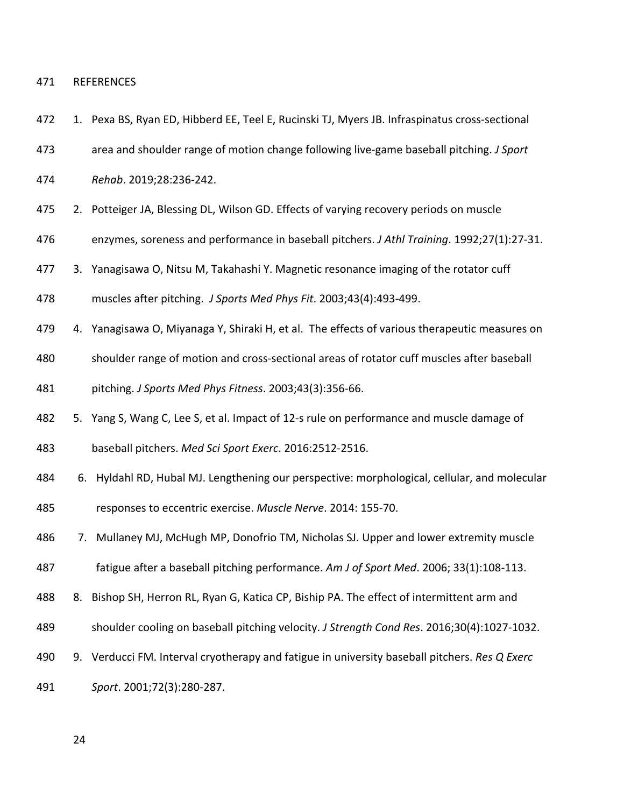#### REFERENCES

- 1. Pexa BS, Ryan ED, Hibberd EE, Teel E, Rucinski TJ, Myers JB. Infraspinatus cross-sectional
- area and shoulder range of motion change following live-game baseball pitching. *J Sport*
- *Rehab*. 2019;28:236-242.
- 2. Potteiger JA, Blessing DL, Wilson GD. Effects of varying recovery periods on muscle
- enzymes, soreness and performance in baseball pitchers. *J Athl Training*. 1992;27(1):27-31.
- 3. Yanagisawa O, Nitsu M, Takahashi Y. Magnetic resonance imaging of the rotator cuff

muscles after pitching. *J Sports Med Phys Fit*. 2003;43(4):493-499.

- 4. Yanagisawa O, Miyanaga Y, Shiraki H, et al. The effects of various therapeutic measures on
- shoulder range of motion and cross-sectional areas of rotator cuff muscles after baseball
- pitching. *J Sports Med Phys Fitness*. 2003;43(3):356-66.
- 5. Yang S, Wang C, Lee S, et al. Impact of 12-s rule on performance and muscle damage of baseball pitchers. *Med Sci Sport Exerc*. 2016:2512-2516.
- 6. Hyldahl RD, Hubal MJ. Lengthening our perspective: morphological, cellular, and molecular responses to eccentric exercise. *Muscle Nerve*. 2014: 155-70.
- 7. Mullaney MJ, McHugh MP, Donofrio TM, Nicholas SJ. Upper and lower extremity muscle
- fatigue after a baseball pitching performance. *Am J of Sport Med*. 2006; 33(1):108-113.
- 8. Bishop SH, Herron RL, Ryan G, Katica CP, Biship PA. The effect of intermittent arm and
- shoulder cooling on baseball pitching velocity. *J Strength Cond Res*. 2016;30(4):1027-1032.
- 9. Verducci FM. Interval cryotherapy and fatigue in university baseball pitchers. *Res Q Exerc*
- *Sport*. 2001;72(3):280-287.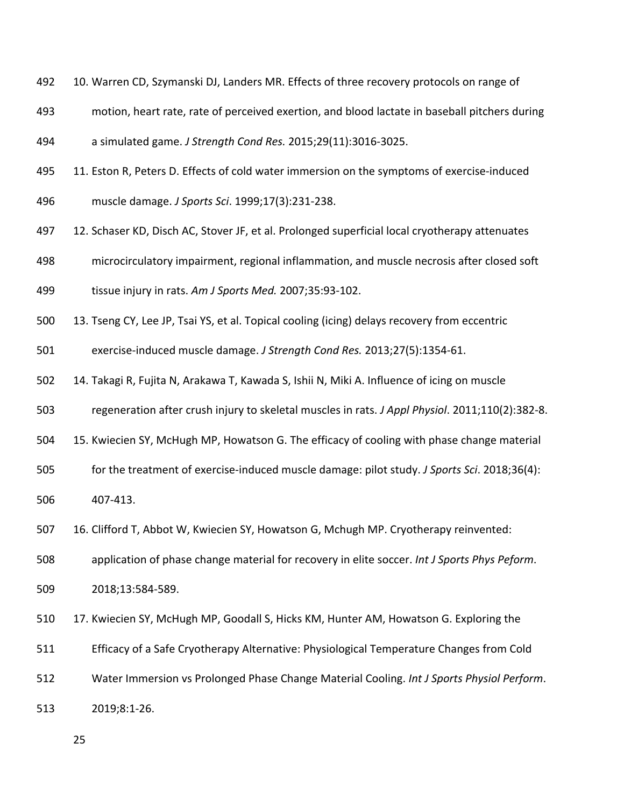- 492 10. Warren CD, Szymanski DJ, Landers MR. Effects of three recovery protocols on range of
- motion, heart rate, rate of perceived exertion, and blood lactate in baseball pitchers during
- a simulated game. *J Strength Cond Res.* 2015;29(11):3016-3025.
- 11. Eston R, Peters D. Effects of cold water immersion on the symptoms of exercise-induced
- muscle damage. *J Sports Sci*. 1999;17(3):231-238.
- 12. Schaser KD, Disch AC, Stover JF, et al. Prolonged superficial local cryotherapy attenuates
- microcirculatory impairment, regional inflammation, and muscle necrosis after closed soft

tissue injury in rats. *Am J Sports Med.* 2007;35:93-102.

- 13. Tseng CY, Lee JP, Tsai YS, et al. Topical cooling (icing) delays recovery from eccentric
- exercise-induced muscle damage. *J Strength Cond Res.* 2013;27(5):1354-61.
- 14. Takagi R, Fujita N, Arakawa T, Kawada S, Ishii N, Miki A. Influence of icing on muscle
- regeneration after crush injury to skeletal muscles in rats. *J Appl Physiol*. 2011;110(2):382-8.
- 15. Kwiecien SY, McHugh MP, Howatson G. The efficacy of cooling with phase change material
- for the treatment of exercise-induced muscle damage: pilot study. *J Sports Sci*. 2018;36(4):

407-413.

16. Clifford T, Abbot W, Kwiecien SY, Howatson G, Mchugh MP. Cryotherapy reinvented:

application of phase change material for recovery in elite soccer. *Int J Sports Phys Peform*.

- 2018;13:584-589.
- 510 17. Kwiecien SY, McHugh MP, Goodall S, Hicks KM, Hunter AM, Howatson G. Exploring the
- Efficacy of a Safe Cryotherapy Alternative: Physiological Temperature Changes from Cold
- Water Immersion vs Prolonged Phase Change Material Cooling. *Int J Sports Physiol Perform*.
- 2019;8:1-26.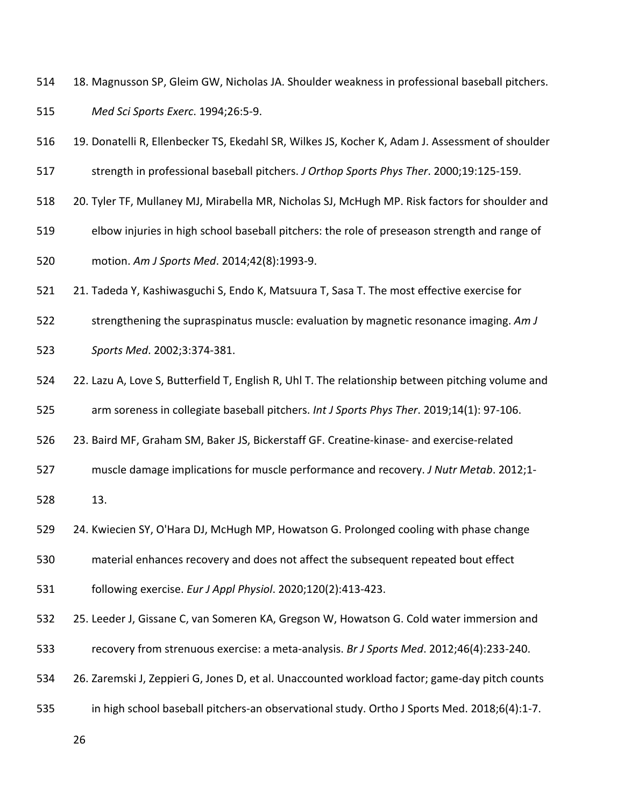- 18. Magnusson SP, Gleim GW, Nicholas JA. Shoulder weakness in professional baseball pitchers. *Med Sci Sports Exerc*. 1994;26:5-9.
- 19. Donatelli R, Ellenbecker TS, Ekedahl SR, Wilkes JS, Kocher K, Adam J. Assessment of shoulder
- strength in professional baseball pitchers. *J Orthop Sports Phys Ther*. 2000;19:125-159.
- 20. Tyler TF, Mullaney MJ, Mirabella MR, Nicholas SJ, McHugh MP. Risk factors for shoulder and
- elbow injuries in high school baseball pitchers: the role of preseason strength and range of motion. *Am J Sports Med*. 2014;42(8):1993-9.
- 21. Tadeda Y, Kashiwasguchi S, Endo K, Matsuura T, Sasa T. The most effective exercise for
- strengthening the supraspinatus muscle: evaluation by magnetic resonance imaging. *Am J*
- *Sports Med*. 2002;3:374-381.
- 22. Lazu A, Love S, Butterfield T, English R, Uhl T. The relationship between pitching volume and
- arm soreness in collegiate baseball pitchers. *Int J Sports Phys Ther*. 2019;14(1): 97-106.
- 23. Baird MF, Graham SM, Baker JS, Bickerstaff GF. Creatine-kinase- and exercise-related
- muscle damage implications for muscle performance and recovery. *J Nutr Metab*. 2012;1-
- 13.
- 24. Kwiecien SY, O'Hara DJ, McHugh MP, Howatson G. Prolonged cooling with phase change
- material enhances recovery and does not affect the subsequent repeated bout effect
- following exercise. *Eur J Appl Physiol*. 2020;120(2):413-423.
- 25. Leeder J, Gissane C, van Someren KA, Gregson W, Howatson G. Cold water immersion and
- recovery from strenuous exercise: a meta-analysis. *Br J Sports Med*. 2012;46(4):233-240.
- 26. Zaremski J, Zeppieri G, Jones D, et al. Unaccounted workload factor; game-day pitch counts
- in high school baseball pitchers-an observational study. Ortho J Sports Med. 2018;6(4):1-7.
	-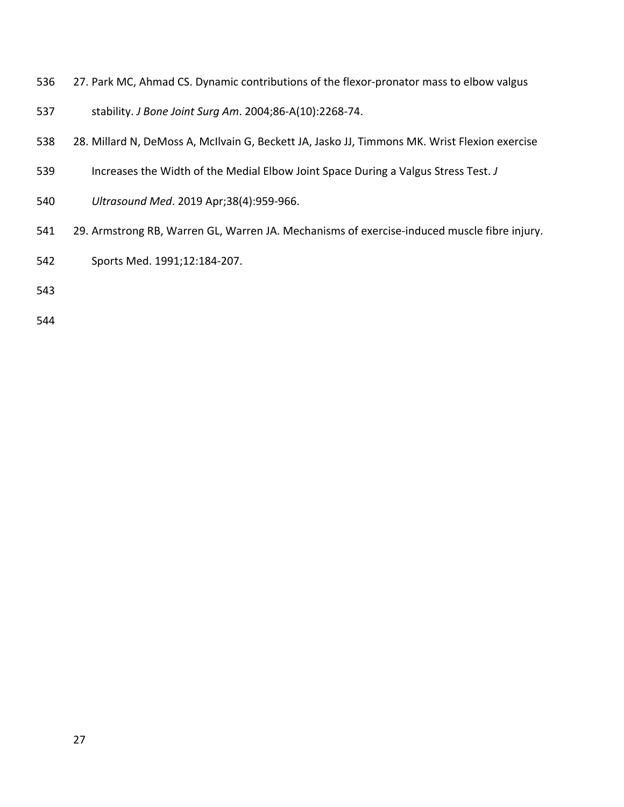- 27. Park MC, Ahmad CS. Dynamic contributions of the flexor-pronator mass to elbow valgus
- stability. *J Bone Joint Surg Am*. 2004;86-A(10):2268-74.
- 28. Millard N, DeMoss A, McIlvain G, Beckett JA, Jasko JJ, Timmons MK. Wrist Flexion exercise
- Increases the Width of the Medial Elbow Joint Space During a Valgus Stress Test. *J*
- *Ultrasound Med*. 2019 Apr;38(4):959-966.
- 29. Armstrong RB, Warren GL, Warren JA. Mechanisms of exercise-induced muscle fibre injury.
- Sports Med. 1991;12:184-207.
- 
-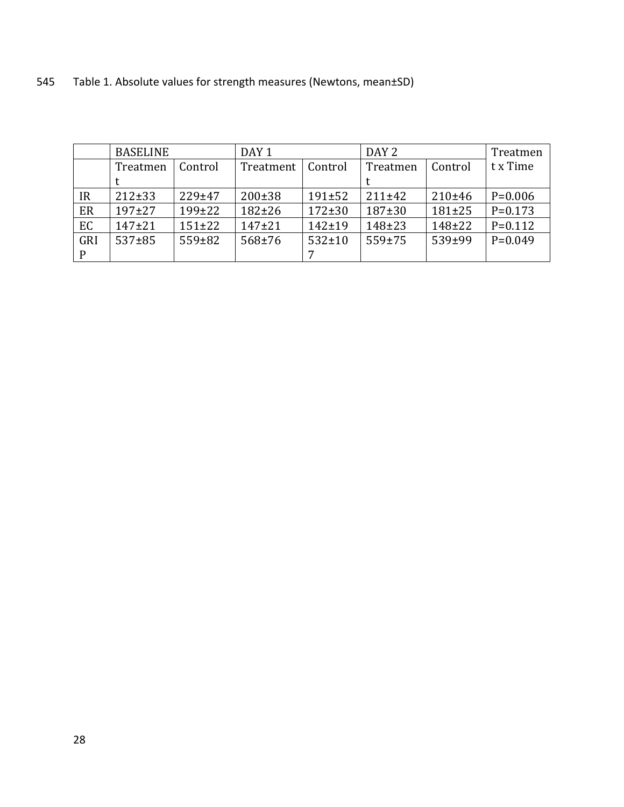|     | <b>BASELINE</b> |              | DAY <sub>1</sub> |              | DAY <sub>2</sub> |              | Treatmen  |
|-----|-----------------|--------------|------------------|--------------|------------------|--------------|-----------|
|     | Treatmen        | Control      | Treatment        | Control      | Treatmen         | Control      | t x Time  |
|     |                 |              |                  |              |                  |              |           |
| IR  | $212 \pm 33$    | 229±47       | $200 \pm 38$     | $191 \pm 52$ | 211±42           | 210±46       | $P=0.006$ |
| ER  | $197+27$        | $199+22$     | $182 + 26$       | $172 \pm 30$ | $187+30$         | $181 \pm 25$ | $P=0.173$ |
| EC  | $147+21$        | $151 \pm 22$ | $147+21$         | $142 + 19$   | $148 + 23$       | $148 + 22$   | $P=0.112$ |
| GRI | $537 + 85$      | 559±82       | $568 + 76$       | $532 \pm 10$ | $559 + 75$       | $539 + 99$   | $P=0.049$ |
| P   |                 |              |                  |              |                  |              |           |

545 Table 1. Absolute values for strength measures (Newtons, mean±SD)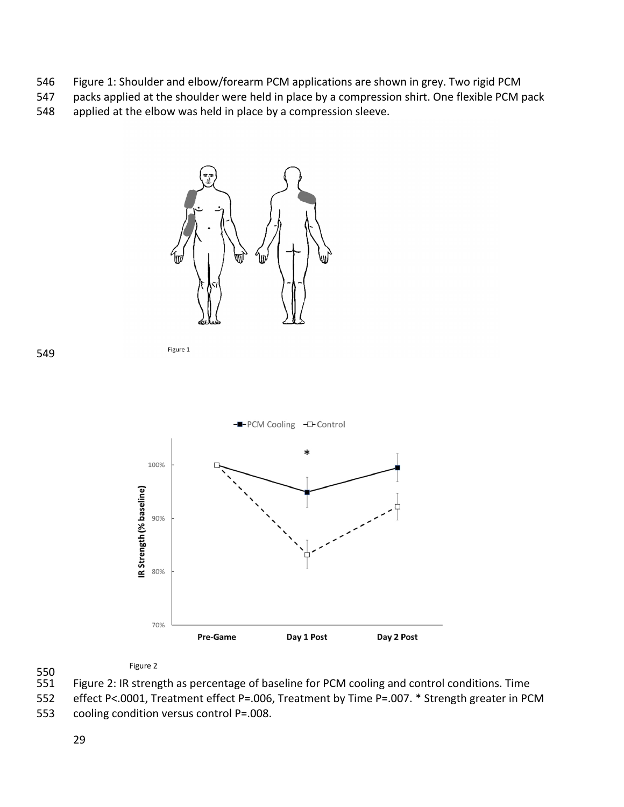- Figure 1: Shoulder and elbow/forearm PCM applications are shown in grey. Two rigid PCM
- packs applied at the shoulder were held in place by a compression shirt. One flexible PCM pack
- applied at the elbow was held in place by a compression sleeve.



$$
\vdots
$$



#### Figure 2

550<br>551 Figure 2: IR strength as percentage of baseline for PCM cooling and control conditions. Time

effect P<.0001, Treatment effect P=.006, Treatment by Time P=.007. \* Strength greater in PCM

cooling condition versus control P=.008.